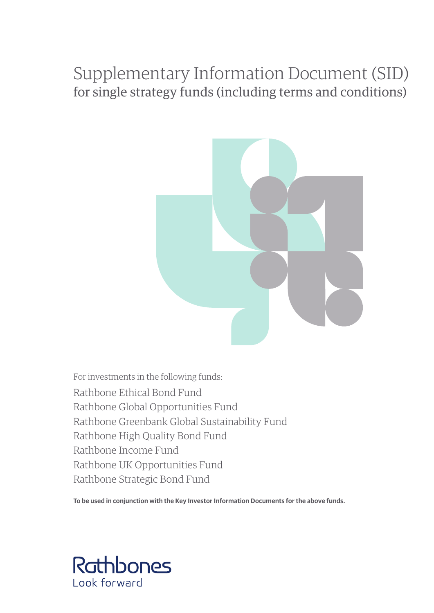# Supplementary Information Document (SID) for single strategy funds (including terms and conditions)



For investments in the following funds: Rathbone Ethical Bond Fund Rathbone Global Opportunities Fund Rathbone Greenbank Global Sustainability Fund Rathbone High Quality Bond Fund Rathbone Income Fund Rathbone UK Opportunities Fund Rathbone Strategic Bond Fund

**To be used in conjunction with the Key Investor Information Documents for the above funds.**

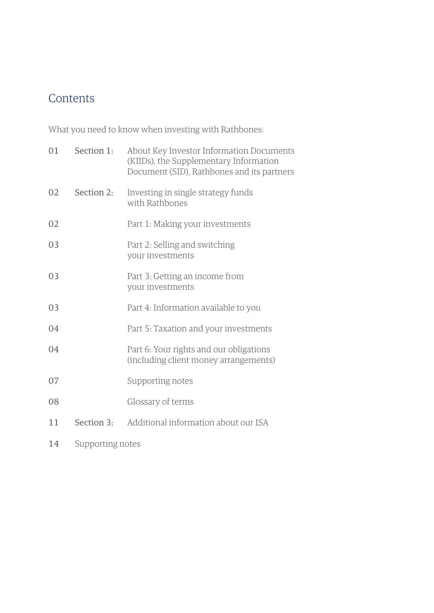# **Contents**

What you need to know when investing with Rathbones:

| 01 | Section 1:       | About Key Investor Information Documents<br>(KIIDs), the Supplementary Information<br>Document (SID), Rathbones and its partners |
|----|------------------|----------------------------------------------------------------------------------------------------------------------------------|
| 02 | Section 2:       | Investing in single strategy funds<br>with Rathbones                                                                             |
| 02 |                  | Part 1: Making your investments                                                                                                  |
| 03 |                  | Part 2: Selling and switching<br>your investments                                                                                |
| 03 |                  | Part 3: Getting an income from<br>your investments                                                                               |
| 03 |                  | Part 4: Information available to you                                                                                             |
| 04 |                  | Part 5: Taxation and your investments                                                                                            |
| 04 |                  | Part 6: Your rights and our obligations<br>(including client money arrangements)                                                 |
| 07 |                  | Supporting notes                                                                                                                 |
| 08 |                  | Glossary of terms                                                                                                                |
| 11 | Section 3:       | Additional information about our ISA                                                                                             |
| 14 | Supporting notes |                                                                                                                                  |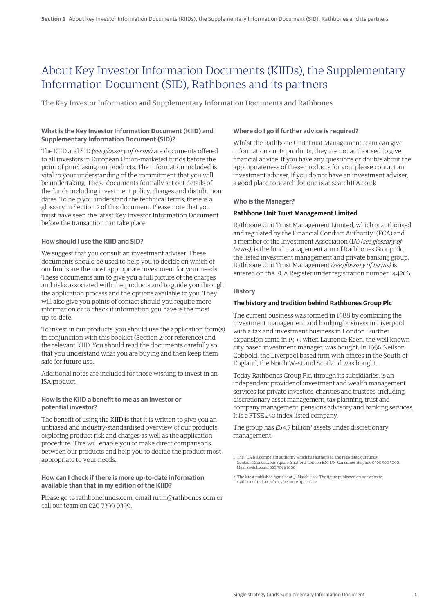# About Key Investor Information Documents (KIIDs), the Supplementary Information Document (SID), Rathbones and its partners

The Key Investor Information and Supplementary Information Documents and Rathbones

# **What is the Key Investor Information Document (KIID) and Supplementary Information Document (SID)?**

The KIID and SID *(see glossary of terms)* are documents offered to all investors in European Union-marketed funds before the point of purchasing our products. The information included is vital to your understanding of the commitment that you will be undertaking. These documents formally set out details of the funds including investment policy, charges and distribution dates. To help you understand the technical terms, there is a glossary in Section 2 of this document. Please note that you must have seen the latest Key Investor Information Document before the transaction can take place.

# **How should I use the KIID and SID?**

We suggest that you consult an investment adviser. These documents should be used to help you to decide on which of our funds are the most appropriate investment for your needs. These documents aim to give you a full picture of the charges and risks associated with the products and to guide you through the application process and the options available to you. They will also give you points of contact should you require more information or to check if information you have is the most up-to-date.

To invest in our products, you should use the application form(s) in conjunction with this booklet (Section 2, for reference) and the relevant KIID. You should read the documents carefully so that you understand what you are buying and then keep them safe for future use.

Additional notes are included for those wishing to invest in an ISA product.

# **How is the KIID a benefit to me as an investor or potential investor?**

The benefit of using the KIID is that it is written to give you an unbiased and industry-standardised overview of our products, exploring product risk and charges as well as the application procedure. This will enable you to make direct comparisons between our products and help you to decide the product most appropriate to your needs.

#### **How can I check if there is more up-to-date information available than that in my edition of the KIID?**

Please go to rathbonefunds.com, email rutm@rathbones.com or call our team on 020 7399 0399.

# **Where do I go if further advice is required?**

Whilst the Rathbone Unit Trust Management team can give information on its products, they are not authorised to give financial advice. If you have any questions or doubts about the appropriateness of these products for you, please contact an investment adviser. If you do not have an investment adviser, a good place to search for one is at searchIFA.co.uk

# **Who is the Manager?**

#### **Rathbone Unit Trust Management Limited**

Rathbone Unit Trust Management Limited, which is authorised and regulated by the Financial Conduct Authority<sup>1</sup> (FCA) and a member of the Investment Association (IA) *(see glossary of terms)*, is the fund management arm of Rathbones Group Plc, the listed investment management and private banking group. Rathbone Unit Trust Management *(see glossary of terms)* is entered on the FCA Register under registration number 144266.

# **History**

### **The history and tradition behind Rathbones Group Plc**

The current business was formed in 1988 by combining the investment management and banking business in Liverpool with a tax and investment business in London. Further expansion came in 1995 when Laurence Keen, the well known city based investment manager, was bought. In 1996 Neilson Cobbold, the Liverpool based firm with offices in the South of England, the North West and Scotland was bought.

Today Rathbones Group Plc, through its subsidiaries, is an independent provider of investment and wealth management services for private investors, charities and trustees, including discretionary asset management, tax planning, trust and company management, pensions advisory and banking services. It is a FTSE 250 index listed company.

The group has £64.7 billion<sup>2</sup> assets under discretionary management.

2 The latest published figure as at 31 March 2022. The figure published on our website (rathbonefunds.com) may be more up-to-date.

<sup>1</sup> The FCA is a competent authority which has authorised and registered our funds. Contact: 12 Endeavour Square, Stratford, London E20 1JN. Consumer Helpline 0300 500 5000. Main Switchboard 020 7066 1000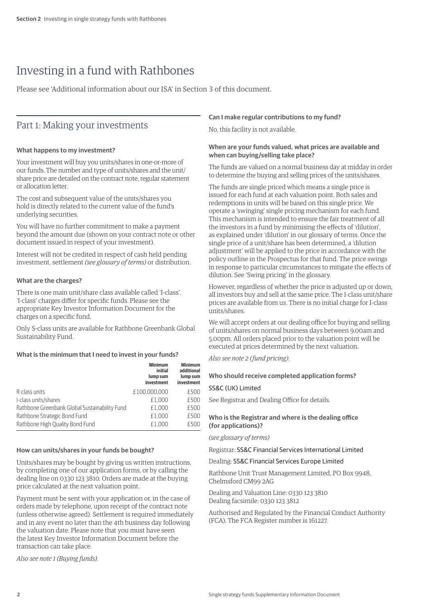# Investing in a fund with Rathbones

Please see 'Additional information about our ISA' in Section 3 of this document.

# Part 1: Making your investments

# **What happens to my investment?**

Your investment will buy you units/shares in one-or-more of our funds. The number and type of units/shares and the unit/ share price are detailed on the contract note, regular statement or allocation letter.

The cost and subsequent value of the units/shares you hold is directly related to the current value of the fund's underlying securities.

You will have no further commitment to make a payment beyond the amount due (shown on your contract note or other document issued in respect of your investment).

Interest will not be credited in respect of cash held pending investment, settlement *(see glossary of terms)* or distribution.

# **What are the charges?**

There is one main unit/share class available called 'I-class'. 'I-class' charges differ for specific funds. Please see the appropriate Key Investor Information Document for the charges on a specific fund.

Only S-class units are available for Rathbone Greenbank Global Sustainability Fund.

### **What is the minimum that I need to invest in your funds?**

|                                               | <b>Minimum</b><br>initial<br>lump sum<br>investment | <b>Minimum</b><br>additional<br>lump sum<br>investment |
|-----------------------------------------------|-----------------------------------------------------|--------------------------------------------------------|
| R-class units                                 | £100,000,000                                        | £500                                                   |
| I-class units/shares                          | £1.000                                              | £500                                                   |
| Rathbone Greenbank Global Sustainability Fund | £1.000                                              | £500                                                   |
| Rathbone Strategic Bond Fund                  | £1.000                                              | £500                                                   |
| Rathbone High Quality Bond Fund               | £1.000                                              | £500                                                   |
|                                               |                                                     |                                                        |

#### **How can units/shares in your funds be bought?**

Units/shares may be bought by giving us written instructions, by completing one of our application forms, or by calling the dealing line on 0330 123 3810. Orders are made at the buying price calculated at the next valuation point.

Payment must be sent with your application or, in the case of orders made by telephone, upon receipt of the contract note (unless otherwise agreed). Settlement is required immediately and in any event no later than the 4th business day following the valuation date. Please note that you must have seen the latest Key Investor Information Document before the transaction can take place.

*Also see note 1 (Buying funds).*

# **Can I make regular contributions to my fund?**

No, this facility is not available.

# **When are your funds valued, what prices are available and when can buying/selling take place?**

The funds are valued on a normal business day at midday in order to determine the buying and selling prices of the units/shares.

The funds are single priced which means a single price is issued for each fund at each valuation point. Both sales and redemptions in units will be based on this single price. We operate a 'swinging' single pricing mechanism for each fund. This mechanism is intended to ensure the fair treatment of all the investors in a fund by minimising the effects of 'dilution', as explained under 'dilution' in our glossary of terms. Once the single price of a unit/share has been determined, a 'dilution adjustment' will be applied to the price in accordance with the policy outline in the Prospectus for that fund. The price swings in response to particular circumstances to mitigate the effects of dilution. See 'Swing pricing' in the glossary.

However, regardless of whether the price is adjusted up or down, all investors buy and sell at the same price. The I-class unit/share prices are available from us. There is no initial charge for I-class units/shares.

We will accept orders at our dealing office for buying and selling of units/shares on normal business days between 9.00am and 5.00pm. All orders placed prior to the valuation point will be executed at prices determined by the next valuation.

*Also see note 2 (fund pricing)*.

#### **Who should receive completed application forms?**

#### SS&C (UK) Limited

See Registrar and Dealing Office for details.

# **Who is the Registrar and where is the dealing office (for applications)?**

#### *(see glossary of terms)*

Registrar: SS&C Financial Services International Limited

Dealing: SS&C Financial Services Europe Limited

Rathbone Unit Trust Management Limited, PO Box 9948, Chelmsford CM99 2AG

Dealing and Valuation Line: 0330 123 3810 Dealing facsimile: 0330 123 3812

Authorised and Regulated by the Financial Conduct Authority (FCA). The FCA Register number is 161227.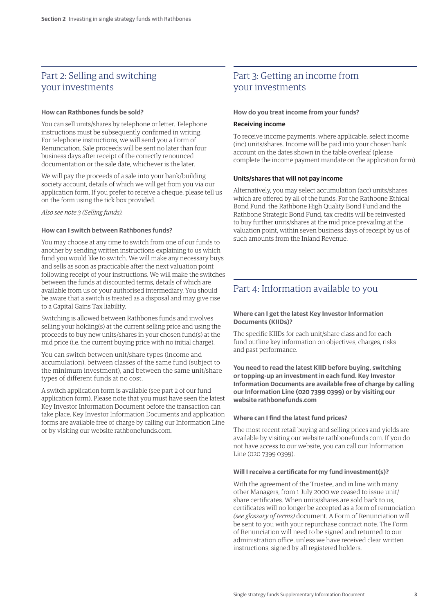# Part 2: Selling and switching your investments

### **How can Rathbones funds be sold?**

You can sell units/shares by telephone or letter. Telephone instructions must be subsequently confirmed in writing. For telephone instructions, we will send you a Form of Renunciation. Sale proceeds will be sent no later than four business days after receipt of the correctly renounced documentation or the sale date, whichever is the later.

We will pay the proceeds of a sale into your bank/building society account, details of which we will get from you via our application form. If you prefer to receive a cheque, please tell us on the form using the tick box provided.

*Also see note 3 (Selling funds).*

#### **How can I switch between Rathbones funds?**

You may choose at any time to switch from one of our funds to another by sending written instructions explaining to us which fund you would like to switch. We will make any necessary buys and sells as soon as practicable after the next valuation point following receipt of your instructions. We will make the switches between the funds at discounted terms, details of which are available from us or your authorised intermediary. You should be aware that a switch is treated as a disposal and may give rise to a Capital Gains Tax liability.

Switching is allowed between Rathbones funds and involves selling your holding(s) at the current selling price and using the proceeds to buy new units/shares in your chosen fund(s) at the mid price (i.e. the current buying price with no initial charge).

You can switch between unit/share types (income and accumulation), between classes of the same fund (subject to the minimum investment), and between the same unit/share types of different funds at no cost.

A switch application form is available (see part 2 of our fund application form). Please note that you must have seen the latest Key Investor Information Document before the transaction can take place. Key Investor Information Documents and application forms are available free of charge by calling our Information Line or by visiting our website rathbonefunds.com*.*

# Part 3: Getting an income from your investments

#### **How do you treat income from your funds?**

#### **Receiving income**

To receive income payments, where applicable, select income (inc) units/shares. Income will be paid into your chosen bank account on the dates shown in the table overleaf (please complete the income payment mandate on the application form).

# **Units/shares that will not pay income**

Alternatively, you may select accumulation (acc) units/shares which are offered by all of the funds. For the Rathbone Ethical Bond Fund, the Rathbone High Quality Bond Fund and the Rathbone Strategic Bond Fund, tax credits will be reinvested to buy further units/shares at the mid price prevailing at the valuation point, within seven business days of receipt by us of such amounts from the Inland Revenue.

# Part 4: Information available to you

#### **Where can I get the latest Key Investor Information Documents (KIIDs)?**

The specific KIIDs for each unit/share class and for each fund outline key information on objectives, charges, risks and past performance.

**You need to read the latest KIID before buying, switching or topping-up an investment in each fund. Key Investor Information Documents are available free of charge by calling our Information Line (020 7399 0399) or by visiting our website rathbonefunds.com**

#### **Where can I find the latest fund prices?**

The most recent retail buying and selling prices and yields are available by visiting our website rathbonefunds.com. If you do not have access to our website, you can call our Information Line (020 7399 0399).

#### **Will I receive a certificate for my fund investment(s)?**

With the agreement of the Trustee, and in line with many other Managers, from 1 July 2000 we ceased to issue unit/ share certificates. When units/shares are sold back to us, certificates will no longer be accepted as a form of renunciation *(see glossary of terms)* document. A Form of Renunciation will be sent to you with your repurchase contract note. The Form of Renunciation will need to be signed and returned to our administration office, unless we have received clear written instructions, signed by all registered holders.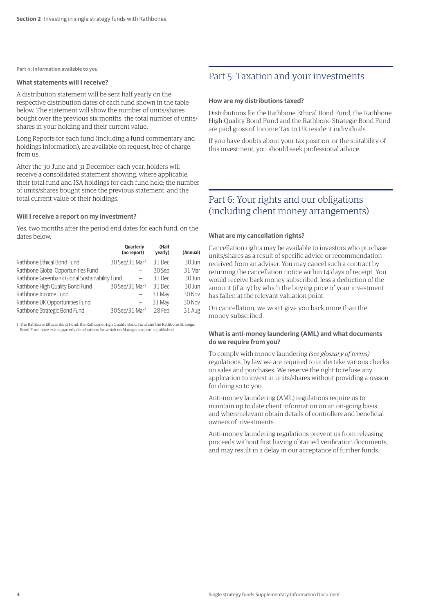**Part 4: Information available to you**

#### **What statements will I receive?**

A distribution statement will be sent half yearly on the respective distribution dates of each fund shown in the table below. The statement will show the number of units/shares bought over the previous six months, the total number of units/ shares in your holding and their current value.

Long Reports for each fund (including a fund commentary and holdings information), are available on request, free of charge, from us.

After the 30 June and 31 December each year, holders will receive a consolidated statement showing, where applicable, their total fund and ISA holdings for each fund held; the number of units/shares bought since the previous statement, and the total current value of their holdings.

#### **Will I receive a report on my investment?**

Yes, two months after the period end dates for each fund, on the dates below.

|                                               | Quarterly<br>(no report)     | (Half<br>yearly) | (Annual) |
|-----------------------------------------------|------------------------------|------------------|----------|
| Rathbone Ethical Bond Fund                    | $30$ Sep/31 Mar <sup>1</sup> | 31 Dec           | 30 Jun   |
| Rathbone Global Opportunities Fund            |                              | 30 Sep           | 31 Mar   |
| Rathbone Greenbank Global Sustainability Fund |                              | 31 Dec           | 30 Jun   |
| Rathbone High Quality Bond Fund               | 30 Sep/31 Mar <sup>1</sup>   | 31 Dec           | 30 Jun   |
| Rathbone Income Fund                          |                              | 31 May           | 30 Nov   |
| Rathbone UK Opportunities Fund                |                              | 31 May           | 30 Nov   |
| Rathbone Strategic Bond Fund                  | $30$ Sep/31 Mar <sup>1</sup> | 28 Feb           | 31 Aug   |

1 The Rathbone Ethical Bond Fund, the Rathbone High Quality Bond Fund and the Rathbone Strategic Bond Fund have extra quarterly distributions for which no Manager's report is published.

# Part 5: Taxation and your investments

#### **How are my distributions taxed?**

Distributions for the Rathbone Ethical Bond Fund, the Rathbone High Quality Bond Fund and the Rathbone Strategic Bond Fund are paid gross of Income Tax to UK resident individuals.

If you have doubts about your tax position, or the suitability of this investment, you should seek professional advice.

# Part 6: Your rights and our obligations (including client money arrangements)

#### **What are my cancellation rights?**

Cancellation rights may be available to investors who purchase units/shares as a result of specific advice or recommendation received from an adviser. You may cancel such a contract by returning the cancellation notice within 14 days of receipt. You would receive back money subscribed, less a deduction of the amount (if any) by which the buying price of your investment has fallen at the relevant valuation point.

On cancellation, we won't give you back more than the money subscribed.

### **What is anti-money laundering (AML) and what documents do we require from you?**

To comply with money laundering *(see glossary of terms)* regulations, by law we are required to undertake various checks on sales and purchases. We reserve the right to refuse any application to invest in units/shares without providing a reason for doing so to you.

Anti-money laundering (AML) regulations require us to maintain up to date client information on an on-going basis and where relevant obtain details of controllers and beneficial owners of investments.

Anti-money laundering regulations prevent us from releasing proceeds without first having obtained verification documents, and may result in a delay in our acceptance of further funds.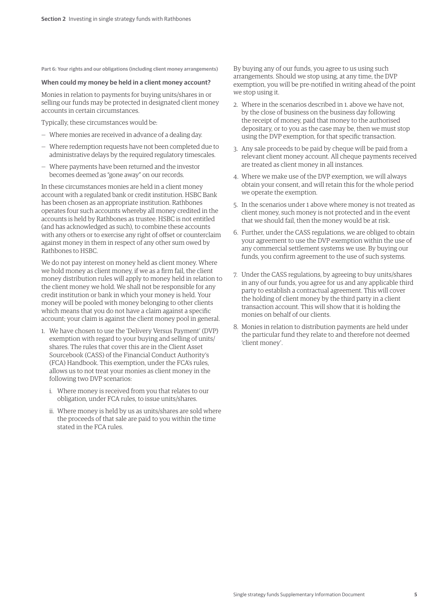**Part 6: Your rights and our obligations (including client money arrangements)**

#### **When could my money be held in a client money account?**

Monies in relation to payments for buying units/shares in or selling our funds may be protected in designated client money accounts in certain circumstances.

Typically, these circumstances would be:

- Where monies are received in advance of a dealing day.
- Where redemption requests have not been completed due to administrative delays by the required regulatory timescales.
- Where payments have been returned and the investor becomes deemed as "gone away" on our records.

In these circumstances monies are held in a client money account with a regulated bank or credit institution. HSBC Bank has been chosen as an appropriate institution. Rathbones operates four such accounts whereby all money credited in the accounts is held by Rathbones as trustee. HSBC is not entitled (and has acknowledged as such), to combine these accounts with any others or to exercise any right of offset or counterclaim against money in them in respect of any other sum owed by Rathbones to HSBC.

We do not pay interest on money held as client money. Where we hold money as client money, if we as a firm fail, the client money distribution rules will apply to money held in relation to the client money we hold. We shall not be responsible for any credit institution or bank in which your money is held. Your money will be pooled with money belonging to other clients which means that you do not have a claim against a specific account; your claim is against the client money pool in general.

- 1. We have chosen to use the 'Delivery Versus Payment' (DVP) exemption with regard to your buying and selling of units/ shares. The rules that cover this are in the Client Asset Sourcebook (CASS) of the Financial Conduct Authority's (FCA) Handbook. This exemption, under the FCA's rules, allows us to not treat your monies as client money in the following two DVP scenarios:
	- i. Where money is received from you that relates to our obligation, under FCA rules, to issue units/shares.
	- ii. Where money is held by us as units/shares are sold where the proceeds of that sale are paid to you within the time stated in the FCA rules.

By buying any of our funds, you agree to us using such arrangements. Should we stop using, at any time, the DVP exemption, you will be pre-notified in writing ahead of the point we stop using it.

- 2. Where in the scenarios described in 1. above we have not, by the close of business on the business day following the receipt of money, paid that money to the authorised depositary, or to you as the case may be, then we must stop using the DVP exemption, for that specific transaction.
- 3. Any sale proceeds to be paid by cheque will be paid from a relevant client money account. All cheque payments received are treated as client money in all instances.
- 4. Where we make use of the DVP exemption, we will always obtain your consent, and will retain this for the whole period we operate the exemption.
- 5. In the scenarios under 1 above where money is not treated as client money, such money is not protected and in the event that we should fail, then the money would be at risk.
- 6. Further, under the CASS regulations, we are obliged to obtain your agreement to use the DVP exemption within the use of any commercial settlement systems we use. By buying our funds, you confirm agreement to the use of such systems.
- 7. Under the CASS regulations, by agreeing to buy units/shares in any of our funds, you agree for us and any applicable third party to establish a contractual agreement. This will cover the holding of client money by the third party in a client transaction account. This will show that it is holding the monies on behalf of our clients.
- 8. Monies in relation to distribution payments are held under the particular fund they relate to and therefore not deemed 'client money'.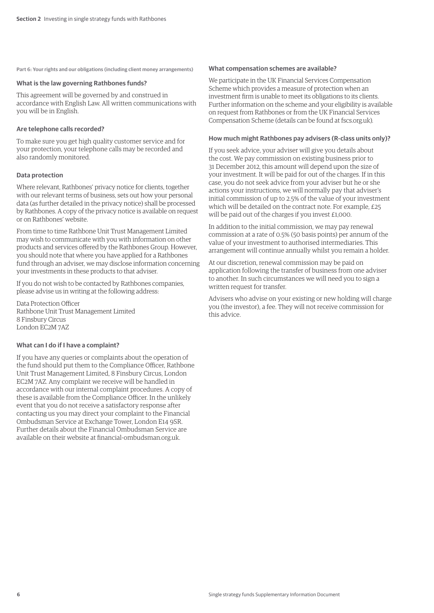**Part 6: Your rights and our obligations (including client money arrangements)**

#### **What is the law governing Rathbones funds?**

This agreement will be governed by and construed in accordance with English Law. All written communications with you will be in English.

#### **Are telephone calls recorded?**

To make sure you get high quality customer service and for your protection, your telephone calls may be recorded and also randomly monitored.

#### **Data protection**

Where relevant, Rathbones' privacy notice for clients, together with our relevant terms of business, sets out how your personal data (as further detailed in the privacy notice) shall be processed by Rathbones. A copy of the privacy notice is available on request or on Rathbones' website.

From time to time Rathbone Unit Trust Management Limited may wish to communicate with you with information on other products and services offered by the Rathbones Group. However, you should note that where you have applied for a Rathbones fund through an adviser, we may disclose information concerning your investments in these products to that adviser.

If you do not wish to be contacted by Rathbones companies, please advise us in writing at the following address:

Data Protection Officer Rathbone Unit Trust Management Limited 8 Finsbury Circus London EC2M 7AZ

#### **What can I do if I have a complaint?**

If you have any queries or complaints about the operation of the fund should put them to the Compliance Officer, Rathbone Unit Trust Management Limited, 8 Finsbury Circus, London EC2M 7AZ. Any complaint we receive will be handled in accordance with our internal complaint procedures. A copy of these is available from the Compliance Officer. In the unlikely event that you do not receive a satisfactory response after contacting us you may direct your complaint to the Financial Ombudsman Service at Exchange Tower, London E14 9SR. Further details about the Financial Ombudsman Service are available on their website at financial-ombudsman.org.uk.

#### **What compensation schemes are available?**

We participate in the UK Financial Services Compensation Scheme which provides a measure of protection when an investment firm is unable to meet its obligations to its clients. Further information on the scheme and your eligibility is available on request from Rathbones or from the UK Financial Services Compensation Scheme (details can be found at fscs.org.uk)*.*

#### **How much might Rathbones pay advisers (R-class units only)?**

If you seek advice, your adviser will give you details about the cost. We pay commission on existing business prior to 31 December 2012, this amount will depend upon the size of your investment. It will be paid for out of the charges. If in this case, you do not seek advice from your adviser but he or she actions your instructions, we will normally pay that adviser's initial commission of up to 2.5% of the value of your investment which will be detailed on the contract note. For example, £25 will be paid out of the charges if you invest £1,000.

In addition to the initial commission, we may pay renewal commission at a rate of 0.5% (50 basis points) per annum of the value of your investment to authorised intermediaries. This arrangement will continue annually whilst you remain a holder.

At our discretion, renewal commission may be paid on application following the transfer of business from one adviser to another. In such circumstances we will need you to sign a written request for transfer.

Advisers who advise on your existing or new holding will charge you (the investor), a fee. They will not receive commission for this advice.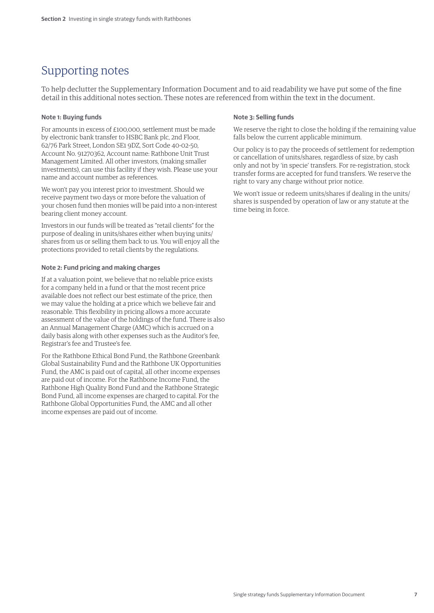# Supporting notes

To help declutter the Supplementary Information Document and to aid readability we have put some of the fine detail in this additional notes section. These notes are referenced from within the text in the document.

# **Note 1: Buying funds**

For amounts in excess of £100,000, settlement must be made by electronic bank transfer to HSBC Bank plc, 2nd Floor, 62/76 Park Street, London SE1 9DZ, Sort Code 40-02-50, Account No. 91270362, Account name: Rathbone Unit Trust Management Limited. All other investors, (making smaller investments), can use this facility if they wish. Please use your name and account number as references.

We won't pay you interest prior to investment. Should we receive payment two days or more before the valuation of your chosen fund then monies will be paid into a non-interest bearing client money account.

Investors in our funds will be treated as "retail clients" for the purpose of dealing in units/shares either when buying units/ shares from us or selling them back to us. You will enjoy all the protections provided to retail clients by the regulations.

#### **Note 2: Fund pricing and making charges**

If at a valuation point, we believe that no reliable price exists for a company held in a fund or that the most recent price available does not reflect our best estimate of the price, then we may value the holding at a price which we believe fair and reasonable. This flexibility in pricing allows a more accurate assessment of the value of the holdings of the fund. There is also an Annual Management Charge (AMC) which is accrued on a daily basis along with other expenses such as the Auditor's fee, Registrar's fee and Trustee's fee.

For the Rathbone Ethical Bond Fund, the Rathbone Greenbank Global Sustainability Fund and the Rathbone UK Opportunities Fund, the AMC is paid out of capital, all other income expenses are paid out of income. For the Rathbone Income Fund, the Rathbone High Quality Bond Fund and the Rathbone Strategic Bond Fund, all income expenses are charged to capital. For the Rathbone Global Opportunities Fund, the AMC and all other income expenses are paid out of income.

# **Note 3: Selling funds**

We reserve the right to close the holding if the remaining value falls below the current applicable minimum.

Our policy is to pay the proceeds of settlement for redemption or cancellation of units/shares, regardless of size, by cash only and not by 'in specie' transfers. For re-registration, stock transfer forms are accepted for fund transfers. We reserve the right to vary any charge without prior notice.

We won't issue or redeem units/shares if dealing in the units/ shares is suspended by operation of law or any statute at the time being in force.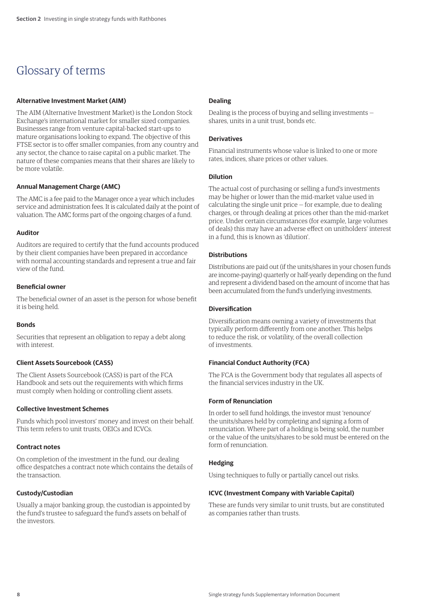# Glossary of terms

# **Alternative Investment Market (AIM)**

The AIM (Alternative Investment Market) is the London Stock Exchange's international market for smaller sized companies. Businesses range from venture capital-backed start-ups to mature organisations looking to expand. The objective of this FTSE sector is to offer smaller companies, from any country and any sector, the chance to raise capital on a public market. The nature of these companies means that their shares are likely to be more volatile.

# **Annual Management Charge (AMC)**

The AMC is a fee paid to the Manager once a year which includes service and administration fees. It is calculated daily at the point of valuation. The AMC forms part of the ongoing charges of a fund.

# **Auditor**

Auditors are required to certify that the fund accounts produced by their client companies have been prepared in accordance with normal accounting standards and represent a true and fair view of the fund.

# **Beneficial owner**

The beneficial owner of an asset is the person for whose benefit it is being held.

#### **Bonds**

Securities that represent an obligation to repay a debt along with interest.

# **Client Assets Sourcebook (CASS)**

The Client Assets Sourcebook (CASS) is part of the FCA Handbook and sets out the requirements with which firms must comply when holding or controlling client assets.

# **Collective Investment Schemes**

Funds which pool investors' money and invest on their behalf. This term refers to unit trusts, OEICs and ICVCs.

# **Contract notes**

On completion of the investment in the fund, our dealing office despatches a contract note which contains the details of the transaction.

# **Custody/Custodian**

Usually a major banking group, the custodian is appointed by the fund's trustee to safeguard the fund's assets on behalf of the investors.

# **Dealing**

Dealing is the process of buying and selling investments shares, units in a unit trust, bonds etc.

# **Derivatives**

Financial instruments whose value is linked to one or more rates, indices, share prices or other values.

#### **Dilution**

The actual cost of purchasing or selling a fund's investments may be higher or lower than the mid-market value used in calculating the single unit price — for example, due to dealing charges, or through dealing at prices other than the mid-market price. Under certain circumstances (for example, large volumes of deals) this may have an adverse effect on unitholders' interest in a fund, this is known as 'dilution'.

# **Distributions**

Distributions are paid out (if the units/shares in your chosen funds are income-paying) quarterly or half-yearly depending on the fund and represent a dividend based on the amount of income that has been accumulated from the fund's underlying investments.

# **Diversification**

Diversification means owning a variety of investments that typically perform differently from one another. This helps to reduce the risk, or volatility, of the overall collection of investments.

# **Financial Conduct Authority (FCA)**

The FCA is the Government body that regulates all aspects of the financial services industry in the UK.

# **Form of Renunciation**

In order to sell fund holdings, the investor must 'renounce' the units/shares held by completing and signing a form of renunciation. Where part of a holding is being sold, the number or the value of the units/shares to be sold must be entered on the form of renunciation.

# **Hedging**

Using techniques to fully or partially cancel out risks.

# **ICVC (Investment Company with Variable Capital)**

These are funds very similar to unit trusts, but are constituted as companies rather than trusts.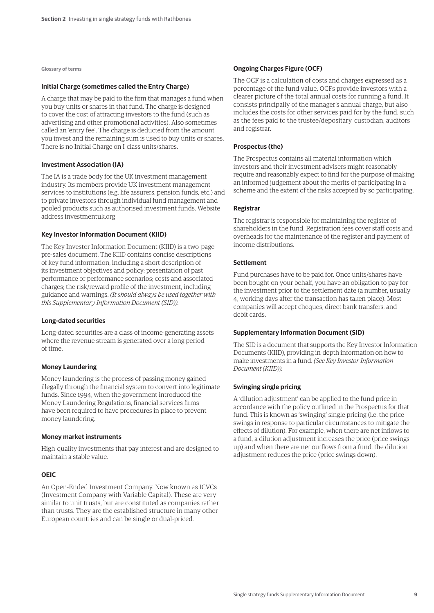**Glossary of terms**

#### **Initial Charge (sometimes called the Entry Charge)**

A charge that may be paid to the firm that manages a fund when you buy units or shares in that fund. The charge is designed to cover the cost of attracting investors to the fund (such as advertising and other promotional activities). Also sometimes called an 'entry fee'. The charge is deducted from the amount you invest and the remaining sum is used to buy units or shares. There is no Initial Charge on I-class units/shares.

#### **Investment Association (IA)**

The IA is a trade body for the UK investment management industry. Its members provide UK investment management services to institutions (e.g. life assurers, pension funds, etc.) and to private investors through individual fund management and pooled products such as authorised investment funds. Website address investmentuk.org

#### **Key Investor Information Document (KIID)**

The Key Investor Information Document (KIID) is a two-page pre-sales document. The KIID contains concise descriptions of key fund information, including a short description of its investment objectives and policy; presentation of past performance or performance scenarios; costs and associated charges; the risk/reward profile of the investment, including guidance and warnings. *(It should always be used together with this Supplementary Information Document (SID)).*

#### **Long-dated securities**

Long-dated securities are a class of income-generating assets where the revenue stream is generated over a long period of time.

#### **Money Laundering**

Money laundering is the process of passing money gained illegally through the financial system to convert into legitimate funds. Since 1994, when the government introduced the Money Laundering Regulations, financial services firms have been required to have procedures in place to prevent money laundering.

#### **Money market instruments**

High-quality investments that pay interest and are designed to maintain a stable value.

# **OEIC**

An Open-Ended Investment Company. Now known as ICVCs (Investment Company with Variable Capital). These are very similar to unit trusts, but are constituted as companies rather than trusts. They are the established structure in many other European countries and can be single or dual-priced.

#### **Ongoing Charges Figure (OCF)**

The OCF is a calculation of costs and charges expressed as a percentage of the fund value. OCFs provide investors with a clearer picture of the total annual costs for running a fund. It consists principally of the manager's annual charge, but also includes the costs for other services paid for by the fund, such as the fees paid to the trustee/depositary, custodian, auditors and registrar.

#### **Prospectus (the)**

The Prospectus contains all material information which investors and their investment advisers might reasonably require and reasonably expect to find for the purpose of making an informed judgement about the merits of participating in a scheme and the extent of the risks accepted by so participating.

#### **Registrar**

The registrar is responsible for maintaining the register of shareholders in the fund. Registration fees cover staff costs and overheads for the maintenance of the register and payment of income distributions.

#### **Settlement**

Fund purchases have to be paid for. Once units/shares have been bought on your behalf, you have an obligation to pay for the investment prior to the settlement date (a number, usually 4, working days after the transaction has taken place). Most companies will accept cheques, direct bank transfers, and debit cards.

#### **Supplementary Information Document (SID)**

The SID is a document that supports the Key Investor Information Documents (KIID), providing in-depth information on how to make investments in a fund. *(See Key Investor Information Document (KIID)).*

# **Swinging single pricing**

A 'dilution adjustment' can be applied to the fund price in accordance with the policy outlined in the Prospectus for that fund. This is known as 'swinging' single pricing (i.e. the price swings in response to particular circumstances to mitigate the effects of dilution). For example, when there are net inflows to a fund, a dilution adjustment increases the price (price swings up) and when there are net outflows from a fund, the dilution adjustment reduces the price (price swings down).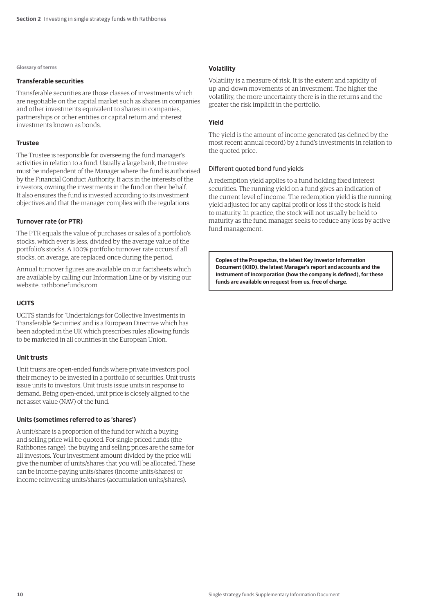#### **Glossary of terms**

#### **Transferable securities**

Transferable securities are those classes of investments which are negotiable on the capital market such as shares in companies and other investments equivalent to shares in companies, partnerships or other entities or capital return and interest investments known as bonds.

#### **Trustee**

The Trustee is responsible for overseeing the fund manager's activities in relation to a fund. Usually a large bank, the trustee must be independent of the Manager where the fund is authorised by the Financial Conduct Authority. It acts in the interests of the investors, owning the investments in the fund on their behalf. It also ensures the fund is invested according to its investment objectives and that the manager complies with the regulations.

# **Turnover rate (or PTR)**

The PTR equals the value of purchases or sales of a portfolio's stocks, which ever is less, divided by the average value of the portfolio's stocks. A 100% portfolio turnover rate occurs if all stocks, on average, are replaced once during the period.

Annual turnover figures are available on our factsheets which are available by calling our Information Line or by visiting our website, rathbonefunds.com

# **UCITS**

UCITS stands for 'Undertakings for Collective Investments in Transferable Securities' and is a European Directive which has been adopted in the UK which prescribes rules allowing funds to be marketed in all countries in the European Union.

#### **Unit trusts**

Unit trusts are open-ended funds where private investors pool their money to be invested in a portfolio of securities. Unit trusts issue units to investors. Unit trusts issue units in response to demand. Being open-ended, unit price is closely aligned to the net asset value (NAV) of the fund.

# **Units (sometimes referred to as 'shares')**

A unit/share is a proportion of the fund for which a buying and selling price will be quoted. For single priced funds (the Rathbones range), the buying and selling prices are the same for all investors. Your investment amount divided by the price will give the number of units/shares that you will be allocated. These can be income-paying units/shares (income units/shares) or income reinvesting units/shares (accumulation units/shares).

# **Volatility**

Volatility is a measure of risk. It is the extent and rapidity of up-and-down movements of an investment. The higher the volatility, the more uncertainty there is in the returns and the greater the risk implicit in the portfolio.

### **Yield**

The yield is the amount of income generated (as defined by the most recent annual record) by a fund's investments in relation to the quoted price.

#### Different quoted bond fund yields

A redemption yield applies to a fund holding fixed interest securities. The running yield on a fund gives an indication of the current level of income. The redemption yield is the running yield adjusted for any capital profit or loss if the stock is held to maturity. In practice, the stock will not usually be held to maturity as the fund manager seeks to reduce any loss by active fund management.

**Copies of the Prospectus, the latest Key Investor Information Document (KIID), the latest Manager's report and accounts and the Instrument of Incorporation (how the company is defined), for these funds are available on request from us, free of charge.**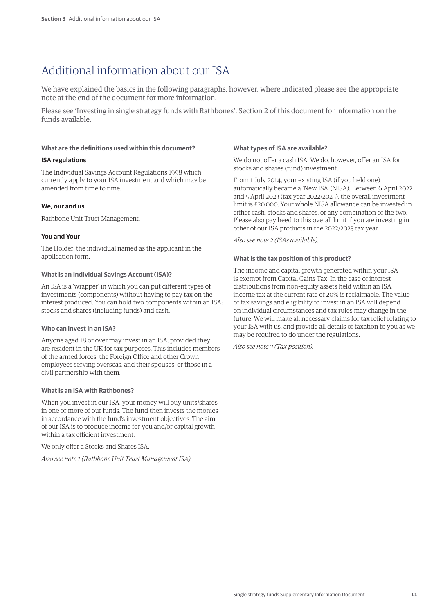# Additional information about our ISA

We have explained the basics in the following paragraphs, however, where indicated please see the appropriate note at the end of the document for more information.

Please see 'Investing in single strategy funds with Rathbones', Section 2 of this document for information on the funds available.

# **What are the definitions used within this document?**

#### **ISA regulations**

The Individual Savings Account Regulations 1998 which currently apply to your ISA investment and which may be amended from time to time.

#### **We, our and us**

Rathbone Unit Trust Management.

### **You and Your**

The Holder: the individual named as the applicant in the application form.

# **What is an Individual Savings Account (ISA)?**

An ISA is a 'wrapper' in which you can put different types of investments (components) without having to pay tax on the interest produced. You can hold two components within an ISA: stocks and shares (including funds) and cash.

#### **Who can invest in an ISA?**

Anyone aged 18 or over may invest in an ISA, provided they are resident in the UK for tax purposes. This includes members of the armed forces, the Foreign Office and other Crown employees serving overseas, and their spouses, or those in a civil partnership with them.

#### **What is an ISA with Rathbones?**

When you invest in our ISA, your money will buy units/shares in one or more of our funds. The fund then invests the monies in accordance with the fund's investment objectives. The aim of our ISA is to produce income for you and/or capital growth within a tax efficient investment.

We only offer a Stocks and Shares ISA.

*Also see note 1 (Rathbone Unit Trust Management ISA).*

#### **What types of ISA are available?**

We do not offer a cash ISA. We do, however, offer an ISA for stocks and shares (fund) investment.

From 1 July 2014, your existing ISA (if you held one) automatically became a 'New ISA' (NISA). Between 6 April 2022 and 5 April 2023 (tax year 2022/2023), the overall investment limit is £20,000. Your whole NISA allowance can be invested in either cash, stocks and shares, or any combination of the two. Please also pay heed to this overall limit if you are investing in other of our ISA products in the 2022/2023 tax year.

#### *Also see note 2 (ISAs available).*

# **What is the tax position of this product?**

The income and capital growth generated within your ISA is exempt from Capital Gains Tax. In the case of interest distributions from non-equity assets held within an ISA, income tax at the current rate of 20% is reclaimable. The value of tax savings and eligibility to invest in an ISA will depend on individual circumstances and tax rules may change in the future. We will make all necessary claims for tax relief relating to your ISA with us, and provide all details of taxation to you as we may be required to do under the regulations.

*Also see note 3 (Tax position).*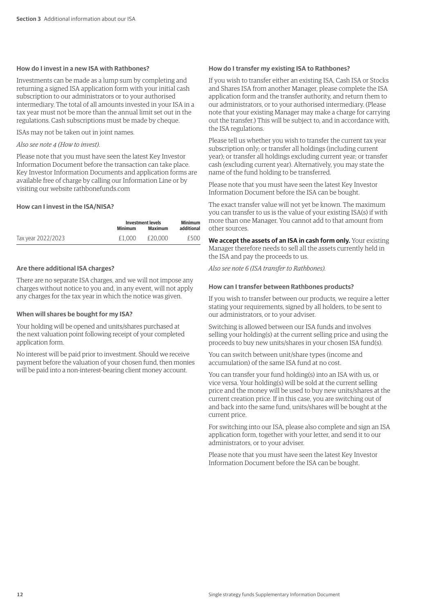# **How do I invest in a new ISA with Rathbones?**

Investments can be made as a lump sum by completing and returning a signed ISA application form with your initial cash subscription to our administrators or to your authorised intermediary. The total of all amounts invested in your ISA in a tax year must not be more than the annual limit set out in the regulations. Cash subscriptions must be made by cheque.

ISAs may not be taken out in joint names.

#### *Also see note 4 (How to invest).*

Please note that you must have seen the latest Key Investor Information Document before the transaction can take place. Key Investor Information Documents and application forms are available free of charge by calling our Information Line or by visiting our website rathbonefunds.com

### **How can I invest in the ISA/NISA?**

|                    | Investment levels |         | <b>Minimum</b> |
|--------------------|-------------------|---------|----------------|
|                    | <b>Minimum</b>    | Maximum | additional     |
| Tax year 2022/2023 | £1.000            | £20.000 | £500           |

#### **Are there additional ISA charges?**

There are no separate ISA charges, and we will not impose any charges without notice to you and, in any event, will not apply any charges for the tax year in which the notice was given.

#### **When will shares be bought for my ISA?**

Your holding will be opened and units/shares purchased at the next valuation point following receipt of your completed application form.

No interest will be paid prior to investment. Should we receive payment before the valuation of your chosen fund, then monies will be paid into a non-interest-bearing client money account.

#### **How do I transfer my existing ISA to Rathbones?**

If you wish to transfer either an existing ISA, Cash ISA or Stocks and Shares ISA from another Manager, please complete the ISA application form and the transfer authority, and return them to our administrators, or to your authorised intermediary. (Please note that your existing Manager may make a charge for carrying out the transfer.) This will be subject to, and in accordance with, the ISA regulations.

Please tell us whether you wish to transfer the current tax year subscription only; or transfer all holdings (including current year); or transfer all holdings excluding current year; or transfer cash (excluding current year). Alternatively, you may state the name of the fund holding to be transferred.

Please note that you must have seen the latest Key Investor Information Document before the ISA can be bought.

The exact transfer value will not yet be known. The maximum you can transfer to us is the value of your existing ISA(s) if with more than one Manager. You cannot add to that amount from other sources.

**We accept the assets of an ISA in cash form only.** Your existing Manager therefore needs to sell all the assets currently held in the ISA and pay the proceeds to us.

*Also see note 6 (ISA transfer to Rathbones).*

#### **How can I transfer between Rathbones products?**

If you wish to transfer between our products, we require a letter stating your requirements, signed by all holders, to be sent to our administrators, or to your adviser.

Switching is allowed between our ISA funds and involves selling your holding(s) at the current selling price and using the proceeds to buy new units/shares in your chosen ISA fund(s).

You can switch between unit/share types (income and accumulation) of the same ISA fund at no cost.

You can transfer your fund holding(s) into an ISA with us, or vice versa. Your holding(s) will be sold at the current selling price and the money will be used to buy new units/shares at the current creation price. If in this case, you are switching out of and back into the same fund, units/shares will be bought at the current price.

For switching into our ISA, please also complete and sign an ISA application form, together with your letter, and send it to our administrators, or to your adviser.

Please note that you must have seen the latest Key Investor Information Document before the ISA can be bought.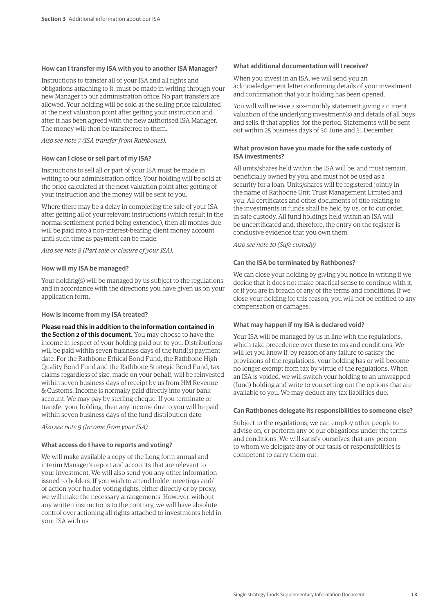#### **How can I transfer my ISA with you to another ISA Manager?**

Instructions to transfer all of your ISA and all rights and obligations attaching to it, must be made in writing through your new Manager to our administration office. No part transfers are allowed. Your holding will be sold at the selling price calculated at the next valuation point after getting your instruction and after it has been agreed with the new authorised ISA Manager. The money will then be transferred to them.

#### *Also see note 7 (ISA transfer from Rathbones).*

#### **How can I close or sell part of my ISA?**

Instructions to sell all or part of your ISA must be made in writing to our administration office. Your holding will be sold at the price calculated at the next valuation point after getting of your instruction and the money will be sent to you.

Where there may be a delay in completing the sale of your ISA after getting all of your relevant instructions (which result in the normal settlement period being extended), then all monies due will be paid into a non-interest-bearing client money account until such time as payment can be made.

*Also see note 8 (Part sale or closure of your ISA).*

#### **How will my ISA be managed?**

Your holding(s) will be managed by us subject to the regulations and in accordance with the directions you have given us on your application form.

#### **How is income from my ISA treated?**

#### **Please read this in addition to the information contained in**

**the Section 2 of this document.** You may choose to have the income in respect of your holding paid out to you. Distributions will be paid within seven business days of the fund(s) payment date. For the Rathbone Ethical Bond Fund, the Rathbone High Quality Bond Fund and the Rathbone Strategic Bond Fund, tax claims regardless of size, made on your behalf, will be reinvested within seven business days of receipt by us from HM Revenue & Customs. Income is normally paid directly into your bank account. We may pay by sterling cheque. If you terminate or transfer your holding, then any income due to you will be paid within seven business days of the fund distribution date.

*Also see note 9 (Income from your ISA).*

# **What access do I have to reports and voting?**

We will make available a copy of the Long form annual and interim Manager's report and accounts that are relevant to your investment. We will also send you any other information issued to holders. If you wish to attend holder meetings and/ or action your holder voting rights, either directly or by proxy, we will make the necessary arrangements. However, without any written instructions to the contrary, we will have absolute control over actioning all rights attached to investments held in your ISA with us.

#### **What additional documentation will I receive?**

When you invest in an ISA, we will send you an acknowledgement letter confirming details of your investment and confirmation that your holding has been opened.

You will will receive a six-monthly statement giving a current valuation of the underlying investment(s) and details of all buys and sells, if that applies, for the period. Statements will be sent out within 25 business days of 30 June and 31 December.

### **What provision have you made for the safe custody of ISA investments?**

All units/shares held within the ISA will be, and must remain, beneficially owned by you, and must not be used as a security for a loan. Units/shares will be registered jointly in the name of Rathbone Unit Trust Management Limited and you. All certificates and other documents of title relating to the investments in funds shall be held by us, or to our order, in safe custody. All fund holdings held within an ISA will be uncertificated and, therefore, the entry on the register is conclusive evidence that you own them.

*Also see note 10 (Safe custody).*

# **Can the ISA be terminated by Rathbones?**

We can close your holding by giving you notice in writing if we decide that it does not make practical sense to continue with it, or if you are in breach of any of the terms and conditions. If we close your holding for this reason, you will not be entitled to any compensation or damages.

#### **What may happen if my ISA is declared void?**

Your ISA will be managed by us in line with the regulations, which take precedence over these terms and conditions. We will let you know if, by reason of any failure to satisfy the provisions of the regulations, your holding has or will become no longer exempt from tax by virtue of the regulations. When an ISA is voided, we will switch your holding to an unwrapped (fund) holding and write to you setting out the options that are available to you. We may deduct any tax liabilities due.

### **Can Rathbones delegate its responsibilities to someone else?**

Subject to the regulations, we can employ other people to advise on, or perform any of our obligations under the terms and conditions. We will satisfy ourselves that any person to whom we delegate any of our tasks or responsibilities is competent to carry them out.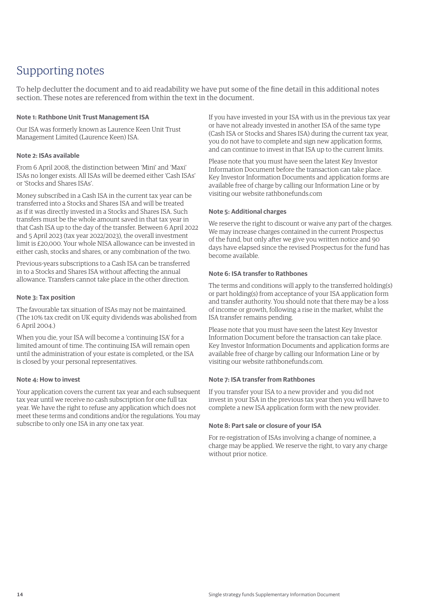# Supporting notes

To help declutter the document and to aid readability we have put some of the fine detail in this additional notes section. These notes are referenced from within the text in the document.

# **Note 1: Rathbone Unit Trust Management ISA**

Our ISA was formerly known as Laurence Keen Unit Trust Management Limited (Laurence Keen) ISA.

# **Note 2: ISAs available**

From 6 April 2008, the distinction between 'Mini' and 'Maxi' ISAs no longer exists. All ISAs will be deemed either 'Cash ISAs' or 'Stocks and Shares ISAs'.

Money subscribed in a Cash ISA in the current tax year can be transferred into a Stocks and Shares ISA and will be treated as if it was directly invested in a Stocks and Shares ISA. Such transfers must be the whole amount saved in that tax year in that Cash ISA up to the day of the transfer. Between 6 April 2022 and 5 April 2023 (tax year 2022/2023), the overall investment limit is £20,000. Your whole NISA allowance can be invested in either cash, stocks and shares, or any combination of the two.

Previous-years subscriptions to a Cash ISA can be transferred in to a Stocks and Shares ISA without affecting the annual allowance. Transfers cannot take place in the other direction.

# **Note 3: Tax position**

The favourable tax situation of ISAs may not be maintained. (The 10% tax credit on UK equity dividends was abolished from 6 April 2004.)

When you die, your ISA will become a 'continuing ISA' for a limited amount of time. The continuing ISA will remain open until the administration of your estate is completed, or the ISA is closed by your personal representatives.

# **Note 4: How to invest**

Your application covers the current tax year and each subsequent tax year until we receive no cash subscription for one full tax year. We have the right to refuse any application which does not meet these terms and conditions and/or the regulations. You may subscribe to only one ISA in any one tax year.

If you have invested in your ISA with us in the previous tax year or have not already invested in another ISA of the same type (Cash ISA or Stocks and Shares ISA) during the current tax year, you do not have to complete and sign new application forms, and can continue to invest in that ISA up to the current limits.

Please note that you must have seen the latest Key Investor Information Document before the transaction can take place. Key Investor Information Documents and application forms are available free of charge by calling our Information Line or by visiting our website rathbonefunds.com

# **Note 5: Additional charges**

We reserve the right to discount or waive any part of the charges. We may increase charges contained in the current Prospectus of the fund, but only after we give you written notice and 90 days have elapsed since the revised Prospectus for the fund has become available.

# **Note 6: ISA transfer to Rathbones**

The terms and conditions will apply to the transferred holding(s) or part holding(s) from acceptance of your ISA application form and transfer authority. You should note that there may be a loss of income or growth, following a rise in the market, whilst the ISA transfer remains pending.

Please note that you must have seen the latest Key Investor Information Document before the transaction can take place. Key Investor Information Documents and application forms are available free of charge by calling our Information Line or by visiting our website rathbonefunds.com.

# **Note 7: ISA transfer from Rathbones**

If you transfer your ISA to a new provider and you did not invest in your ISA in the previous tax year then you will have to complete a new ISA application form with the new provider.

# **Note 8: Part sale or closure of your ISA**

For re-registration of ISAs involving a change of nominee, a charge may be applied. We reserve the right, to vary any charge without prior notice.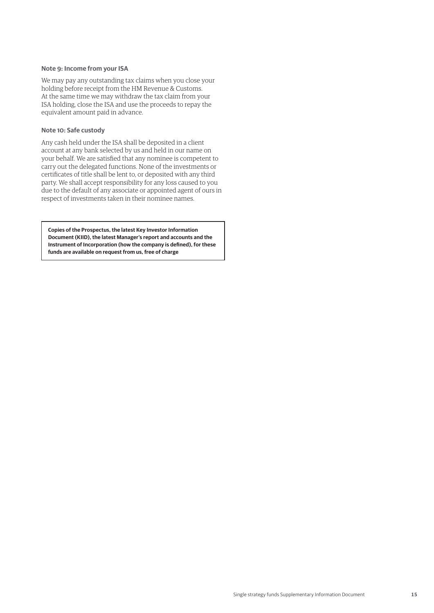## **Note 9: Income from your ISA**

We may pay any outstanding tax claims when you close your holding before receipt from the HM Revenue & Customs. At the same time we may withdraw the tax claim from your ISA holding, close the ISA and use the proceeds to repay the equivalent amount paid in advance.

#### **Note 10: Safe custody**

Any cash held under the ISA shall be deposited in a client account at any bank selected by us and held in our name on your behalf. We are satisfied that any nominee is competent to carry out the delegated functions. None of the investments or certificates of title shall be lent to, or deposited with any third party. We shall accept responsibility for any loss caused to you due to the default of any associate or appointed agent of ours in respect of investments taken in their nominee names.

**Copies of the Prospectus, the latest Key Investor Information Document (KIID), the latest Manager's report and accounts and the Instrument of Incorporation (how the company is defined), for these funds are available on request from us, free of charge**